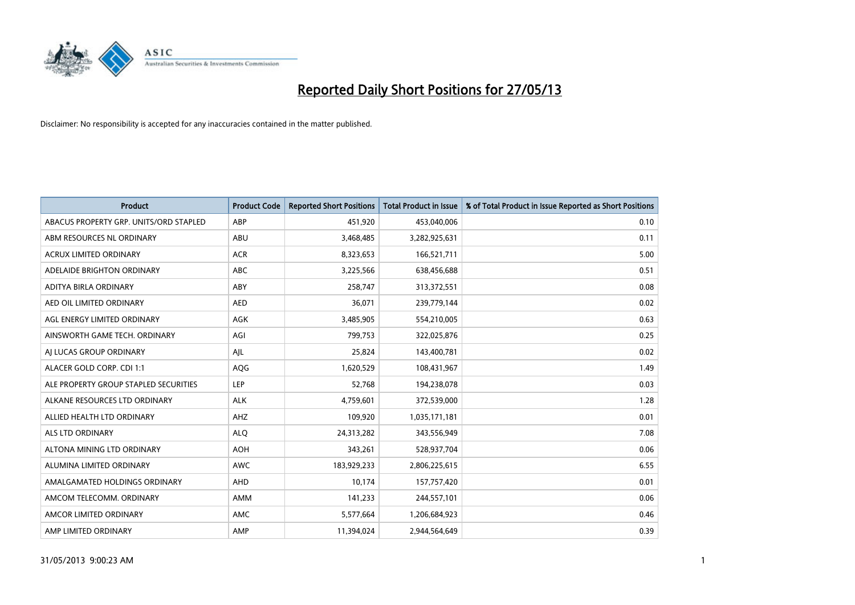

| <b>Product</b>                         | <b>Product Code</b> | <b>Reported Short Positions</b> | <b>Total Product in Issue</b> | % of Total Product in Issue Reported as Short Positions |
|----------------------------------------|---------------------|---------------------------------|-------------------------------|---------------------------------------------------------|
| ABACUS PROPERTY GRP. UNITS/ORD STAPLED | ABP                 | 451,920                         | 453,040,006                   | 0.10                                                    |
| ABM RESOURCES NL ORDINARY              | ABU                 | 3,468,485                       | 3,282,925,631                 | 0.11                                                    |
| <b>ACRUX LIMITED ORDINARY</b>          | <b>ACR</b>          | 8,323,653                       | 166,521,711                   | 5.00                                                    |
| ADELAIDE BRIGHTON ORDINARY             | <b>ABC</b>          | 3,225,566                       | 638,456,688                   | 0.51                                                    |
| ADITYA BIRLA ORDINARY                  | ABY                 | 258,747                         | 313,372,551                   | 0.08                                                    |
| AED OIL LIMITED ORDINARY               | <b>AED</b>          | 36,071                          | 239,779,144                   | 0.02                                                    |
| AGL ENERGY LIMITED ORDINARY            | AGK                 | 3,485,905                       | 554,210,005                   | 0.63                                                    |
| AINSWORTH GAME TECH. ORDINARY          | AGI                 | 799,753                         | 322,025,876                   | 0.25                                                    |
| AI LUCAS GROUP ORDINARY                | AJL                 | 25,824                          | 143,400,781                   | 0.02                                                    |
| ALACER GOLD CORP. CDI 1:1              | AQG                 | 1,620,529                       | 108,431,967                   | 1.49                                                    |
| ALE PROPERTY GROUP STAPLED SECURITIES  | <b>LEP</b>          | 52,768                          | 194,238,078                   | 0.03                                                    |
| ALKANE RESOURCES LTD ORDINARY          | <b>ALK</b>          | 4,759,601                       | 372,539,000                   | 1.28                                                    |
| ALLIED HEALTH LTD ORDINARY             | AHZ                 | 109,920                         | 1,035,171,181                 | 0.01                                                    |
| ALS LTD ORDINARY                       | <b>ALQ</b>          | 24,313,282                      | 343,556,949                   | 7.08                                                    |
| ALTONA MINING LTD ORDINARY             | <b>AOH</b>          | 343,261                         | 528,937,704                   | 0.06                                                    |
| ALUMINA LIMITED ORDINARY               | <b>AWC</b>          | 183,929,233                     | 2,806,225,615                 | 6.55                                                    |
| AMALGAMATED HOLDINGS ORDINARY          | AHD                 | 10,174                          | 157,757,420                   | 0.01                                                    |
| AMCOM TELECOMM, ORDINARY               | AMM                 | 141,233                         | 244,557,101                   | 0.06                                                    |
| AMCOR LIMITED ORDINARY                 | AMC                 | 5,577,664                       | 1,206,684,923                 | 0.46                                                    |
| AMP LIMITED ORDINARY                   | AMP                 | 11,394,024                      | 2,944,564,649                 | 0.39                                                    |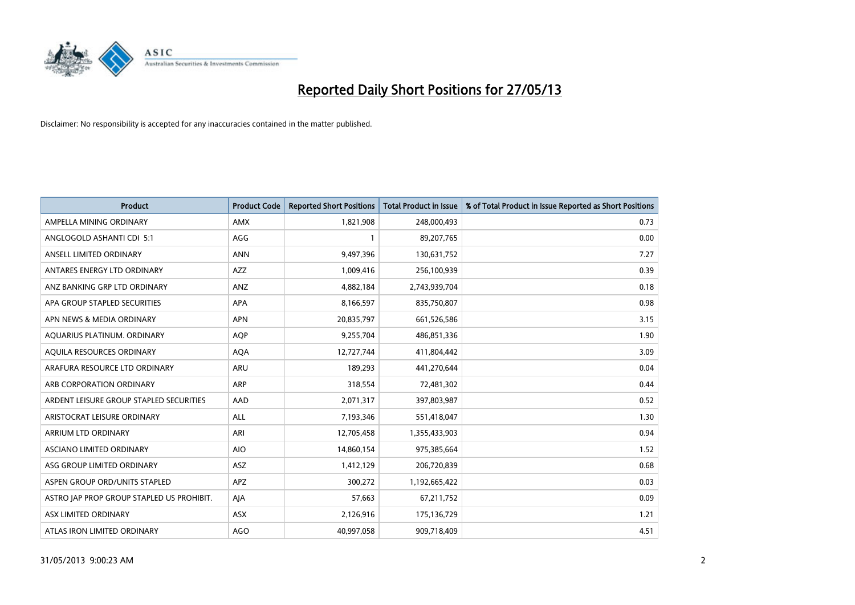

| <b>Product</b>                            | <b>Product Code</b> | <b>Reported Short Positions</b> | <b>Total Product in Issue</b> | % of Total Product in Issue Reported as Short Positions |
|-------------------------------------------|---------------------|---------------------------------|-------------------------------|---------------------------------------------------------|
| AMPELLA MINING ORDINARY                   | <b>AMX</b>          | 1,821,908                       | 248,000,493                   | 0.73                                                    |
| ANGLOGOLD ASHANTI CDI 5:1                 | AGG                 |                                 | 89,207,765                    | 0.00                                                    |
| ANSELL LIMITED ORDINARY                   | <b>ANN</b>          | 9,497,396                       | 130,631,752                   | 7.27                                                    |
| ANTARES ENERGY LTD ORDINARY               | AZZ                 | 1,009,416                       | 256,100,939                   | 0.39                                                    |
| ANZ BANKING GRP LTD ORDINARY              | ANZ                 | 4,882,184                       | 2,743,939,704                 | 0.18                                                    |
| APA GROUP STAPLED SECURITIES              | <b>APA</b>          | 8,166,597                       | 835,750,807                   | 0.98                                                    |
| APN NEWS & MEDIA ORDINARY                 | <b>APN</b>          | 20,835,797                      | 661,526,586                   | 3.15                                                    |
| AQUARIUS PLATINUM. ORDINARY               | <b>AOP</b>          | 9,255,704                       | 486,851,336                   | 1.90                                                    |
| AQUILA RESOURCES ORDINARY                 | <b>AQA</b>          | 12,727,744                      | 411,804,442                   | 3.09                                                    |
| ARAFURA RESOURCE LTD ORDINARY             | ARU                 | 189,293                         | 441,270,644                   | 0.04                                                    |
| ARB CORPORATION ORDINARY                  | ARP                 | 318,554                         | 72,481,302                    | 0.44                                                    |
| ARDENT LEISURE GROUP STAPLED SECURITIES   | AAD                 | 2,071,317                       | 397,803,987                   | 0.52                                                    |
| ARISTOCRAT LEISURE ORDINARY               | ALL                 | 7,193,346                       | 551,418,047                   | 1.30                                                    |
| <b>ARRIUM LTD ORDINARY</b>                | ARI                 | 12,705,458                      | 1,355,433,903                 | 0.94                                                    |
| ASCIANO LIMITED ORDINARY                  | <b>AIO</b>          | 14,860,154                      | 975,385,664                   | 1.52                                                    |
| ASG GROUP LIMITED ORDINARY                | ASZ                 | 1,412,129                       | 206,720,839                   | 0.68                                                    |
| ASPEN GROUP ORD/UNITS STAPLED             | <b>APZ</b>          | 300,272                         | 1,192,665,422                 | 0.03                                                    |
| ASTRO JAP PROP GROUP STAPLED US PROHIBIT. | AJA                 | 57,663                          | 67,211,752                    | 0.09                                                    |
| ASX LIMITED ORDINARY                      | ASX                 | 2,126,916                       | 175,136,729                   | 1.21                                                    |
| ATLAS IRON LIMITED ORDINARY               | <b>AGO</b>          | 40,997,058                      | 909,718,409                   | 4.51                                                    |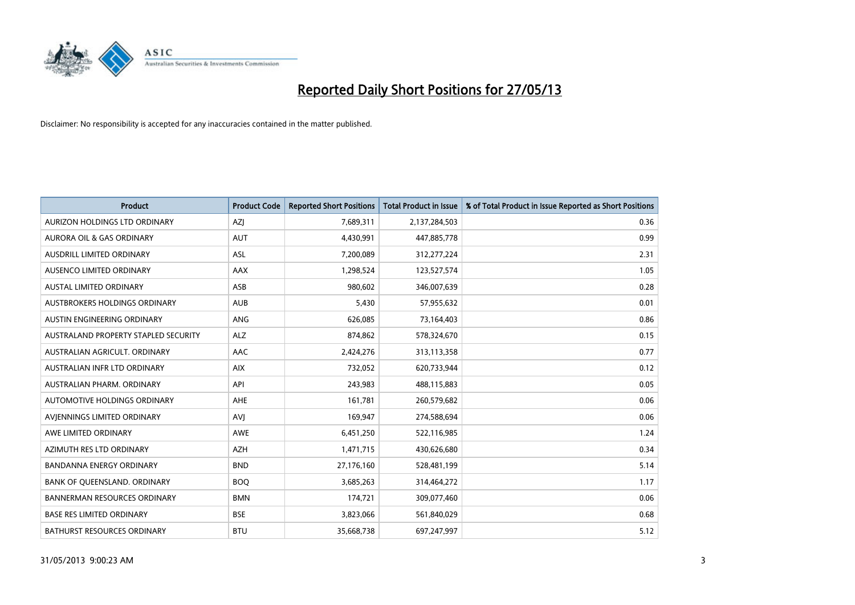

| <b>Product</b>                       | <b>Product Code</b> | <b>Reported Short Positions</b> | <b>Total Product in Issue</b> | % of Total Product in Issue Reported as Short Positions |
|--------------------------------------|---------------------|---------------------------------|-------------------------------|---------------------------------------------------------|
| AURIZON HOLDINGS LTD ORDINARY        | AZJ                 | 7,689,311                       | 2,137,284,503                 | 0.36                                                    |
| AURORA OIL & GAS ORDINARY            | <b>AUT</b>          | 4,430,991                       | 447,885,778                   | 0.99                                                    |
| <b>AUSDRILL LIMITED ORDINARY</b>     | ASL                 | 7,200,089                       | 312,277,224                   | 2.31                                                    |
| AUSENCO LIMITED ORDINARY             | <b>AAX</b>          | 1,298,524                       | 123,527,574                   | 1.05                                                    |
| <b>AUSTAL LIMITED ORDINARY</b>       | ASB                 | 980,602                         | 346,007,639                   | 0.28                                                    |
| AUSTBROKERS HOLDINGS ORDINARY        | <b>AUB</b>          | 5,430                           | 57,955,632                    | 0.01                                                    |
| AUSTIN ENGINEERING ORDINARY          | ANG                 | 626,085                         | 73,164,403                    | 0.86                                                    |
| AUSTRALAND PROPERTY STAPLED SECURITY | <b>ALZ</b>          | 874,862                         | 578,324,670                   | 0.15                                                    |
| AUSTRALIAN AGRICULT, ORDINARY        | AAC                 | 2,424,276                       | 313,113,358                   | 0.77                                                    |
| AUSTRALIAN INFR LTD ORDINARY         | <b>AIX</b>          | 732,052                         | 620,733,944                   | 0.12                                                    |
| AUSTRALIAN PHARM. ORDINARY           | API                 | 243,983                         | 488,115,883                   | 0.05                                                    |
| <b>AUTOMOTIVE HOLDINGS ORDINARY</b>  | <b>AHE</b>          | 161,781                         | 260,579,682                   | 0.06                                                    |
| AVJENNINGS LIMITED ORDINARY          | <b>AVJ</b>          | 169,947                         | 274,588,694                   | 0.06                                                    |
| AWE LIMITED ORDINARY                 | <b>AWE</b>          | 6,451,250                       | 522,116,985                   | 1.24                                                    |
| AZIMUTH RES LTD ORDINARY             | <b>AZH</b>          | 1,471,715                       | 430,626,680                   | 0.34                                                    |
| <b>BANDANNA ENERGY ORDINARY</b>      | <b>BND</b>          | 27,176,160                      | 528,481,199                   | 5.14                                                    |
| BANK OF QUEENSLAND. ORDINARY         | <b>BOO</b>          | 3,685,263                       | 314,464,272                   | 1.17                                                    |
| <b>BANNERMAN RESOURCES ORDINARY</b>  | <b>BMN</b>          | 174,721                         | 309,077,460                   | 0.06                                                    |
| <b>BASE RES LIMITED ORDINARY</b>     | <b>BSE</b>          | 3,823,066                       | 561,840,029                   | 0.68                                                    |
| BATHURST RESOURCES ORDINARY          | <b>BTU</b>          | 35,668,738                      | 697,247,997                   | 5.12                                                    |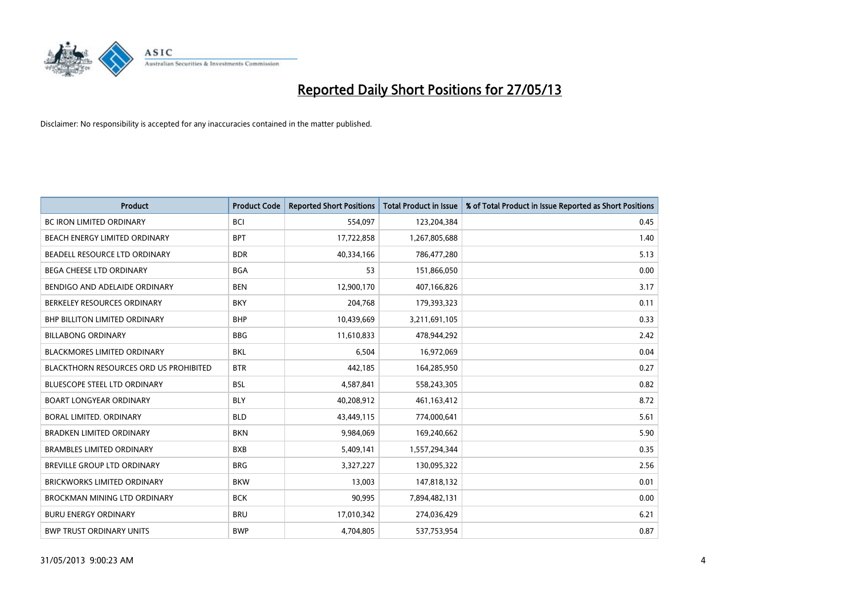

| <b>Product</b>                                | <b>Product Code</b> | <b>Reported Short Positions</b> | <b>Total Product in Issue</b> | % of Total Product in Issue Reported as Short Positions |
|-----------------------------------------------|---------------------|---------------------------------|-------------------------------|---------------------------------------------------------|
| <b>BC IRON LIMITED ORDINARY</b>               | <b>BCI</b>          | 554,097                         | 123,204,384                   | 0.45                                                    |
| <b>BEACH ENERGY LIMITED ORDINARY</b>          | <b>BPT</b>          | 17,722,858                      | 1,267,805,688                 | 1.40                                                    |
| BEADELL RESOURCE LTD ORDINARY                 | <b>BDR</b>          | 40,334,166                      | 786,477,280                   | 5.13                                                    |
| BEGA CHEESE LTD ORDINARY                      | <b>BGA</b>          | 53                              | 151,866,050                   | 0.00                                                    |
| BENDIGO AND ADELAIDE ORDINARY                 | <b>BEN</b>          | 12,900,170                      | 407,166,826                   | 3.17                                                    |
| BERKELEY RESOURCES ORDINARY                   | <b>BKY</b>          | 204,768                         | 179,393,323                   | 0.11                                                    |
| <b>BHP BILLITON LIMITED ORDINARY</b>          | <b>BHP</b>          | 10,439,669                      | 3,211,691,105                 | 0.33                                                    |
| <b>BILLABONG ORDINARY</b>                     | <b>BBG</b>          | 11,610,833                      | 478,944,292                   | 2.42                                                    |
| <b>BLACKMORES LIMITED ORDINARY</b>            | <b>BKL</b>          | 6,504                           | 16,972,069                    | 0.04                                                    |
| <b>BLACKTHORN RESOURCES ORD US PROHIBITED</b> | <b>BTR</b>          | 442,185                         | 164,285,950                   | 0.27                                                    |
| BLUESCOPE STEEL LTD ORDINARY                  | BSL                 | 4,587,841                       | 558,243,305                   | 0.82                                                    |
| <b>BOART LONGYEAR ORDINARY</b>                | <b>BLY</b>          | 40,208,912                      | 461,163,412                   | 8.72                                                    |
| BORAL LIMITED. ORDINARY                       | <b>BLD</b>          | 43,449,115                      | 774,000,641                   | 5.61                                                    |
| <b>BRADKEN LIMITED ORDINARY</b>               | <b>BKN</b>          | 9,984,069                       | 169,240,662                   | 5.90                                                    |
| <b>BRAMBLES LIMITED ORDINARY</b>              | <b>BXB</b>          | 5,409,141                       | 1,557,294,344                 | 0.35                                                    |
| <b>BREVILLE GROUP LTD ORDINARY</b>            | <b>BRG</b>          | 3,327,227                       | 130,095,322                   | 2.56                                                    |
| <b>BRICKWORKS LIMITED ORDINARY</b>            | <b>BKW</b>          | 13,003                          | 147,818,132                   | 0.01                                                    |
| BROCKMAN MINING LTD ORDINARY                  | <b>BCK</b>          | 90,995                          | 7,894,482,131                 | 0.00                                                    |
| <b>BURU ENERGY ORDINARY</b>                   | <b>BRU</b>          | 17,010,342                      | 274,036,429                   | 6.21                                                    |
| <b>BWP TRUST ORDINARY UNITS</b>               | <b>BWP</b>          | 4,704,805                       | 537,753,954                   | 0.87                                                    |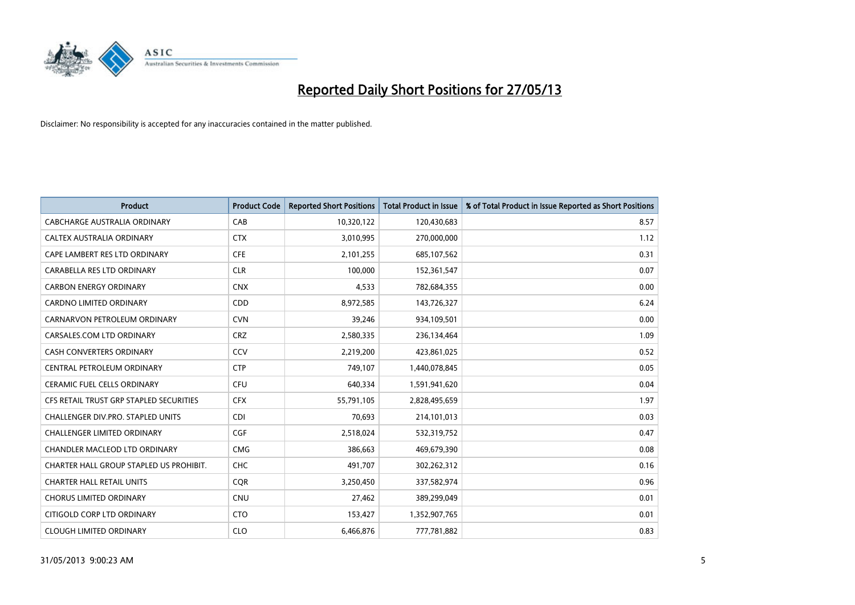

| <b>Product</b>                          | <b>Product Code</b> | <b>Reported Short Positions</b> | <b>Total Product in Issue</b> | % of Total Product in Issue Reported as Short Positions |
|-----------------------------------------|---------------------|---------------------------------|-------------------------------|---------------------------------------------------------|
| <b>CABCHARGE AUSTRALIA ORDINARY</b>     | CAB                 | 10,320,122                      | 120,430,683                   | 8.57                                                    |
| CALTEX AUSTRALIA ORDINARY               | <b>CTX</b>          | 3,010,995                       | 270,000,000                   | 1.12                                                    |
| CAPE LAMBERT RES LTD ORDINARY           | <b>CFE</b>          | 2,101,255                       | 685,107,562                   | 0.31                                                    |
| CARABELLA RES LTD ORDINARY              | <b>CLR</b>          | 100,000                         | 152,361,547                   | 0.07                                                    |
| <b>CARBON ENERGY ORDINARY</b>           | <b>CNX</b>          | 4,533                           | 782,684,355                   | 0.00                                                    |
| <b>CARDNO LIMITED ORDINARY</b>          | CDD                 | 8,972,585                       | 143,726,327                   | 6.24                                                    |
| CARNARVON PETROLEUM ORDINARY            | <b>CVN</b>          | 39,246                          | 934,109,501                   | 0.00                                                    |
| CARSALES.COM LTD ORDINARY               | <b>CRZ</b>          | 2,580,335                       | 236,134,464                   | 1.09                                                    |
| <b>CASH CONVERTERS ORDINARY</b>         | CCV                 | 2,219,200                       | 423,861,025                   | 0.52                                                    |
| CENTRAL PETROLEUM ORDINARY              | <b>CTP</b>          | 749,107                         | 1,440,078,845                 | 0.05                                                    |
| CERAMIC FUEL CELLS ORDINARY             | <b>CFU</b>          | 640,334                         | 1,591,941,620                 | 0.04                                                    |
| CFS RETAIL TRUST GRP STAPLED SECURITIES | <b>CFX</b>          | 55,791,105                      | 2,828,495,659                 | 1.97                                                    |
| CHALLENGER DIV.PRO. STAPLED UNITS       | <b>CDI</b>          | 70,693                          | 214,101,013                   | 0.03                                                    |
| <b>CHALLENGER LIMITED ORDINARY</b>      | <b>CGF</b>          | 2,518,024                       | 532,319,752                   | 0.47                                                    |
| CHANDLER MACLEOD LTD ORDINARY           | <b>CMG</b>          | 386,663                         | 469,679,390                   | 0.08                                                    |
| CHARTER HALL GROUP STAPLED US PROHIBIT. | <b>CHC</b>          | 491,707                         | 302,262,312                   | 0.16                                                    |
| <b>CHARTER HALL RETAIL UNITS</b>        | <b>CQR</b>          | 3,250,450                       | 337,582,974                   | 0.96                                                    |
| <b>CHORUS LIMITED ORDINARY</b>          | <b>CNU</b>          | 27,462                          | 389,299,049                   | 0.01                                                    |
| CITIGOLD CORP LTD ORDINARY              | <b>CTO</b>          | 153,427                         | 1,352,907,765                 | 0.01                                                    |
| <b>CLOUGH LIMITED ORDINARY</b>          | <b>CLO</b>          | 6,466,876                       | 777,781,882                   | 0.83                                                    |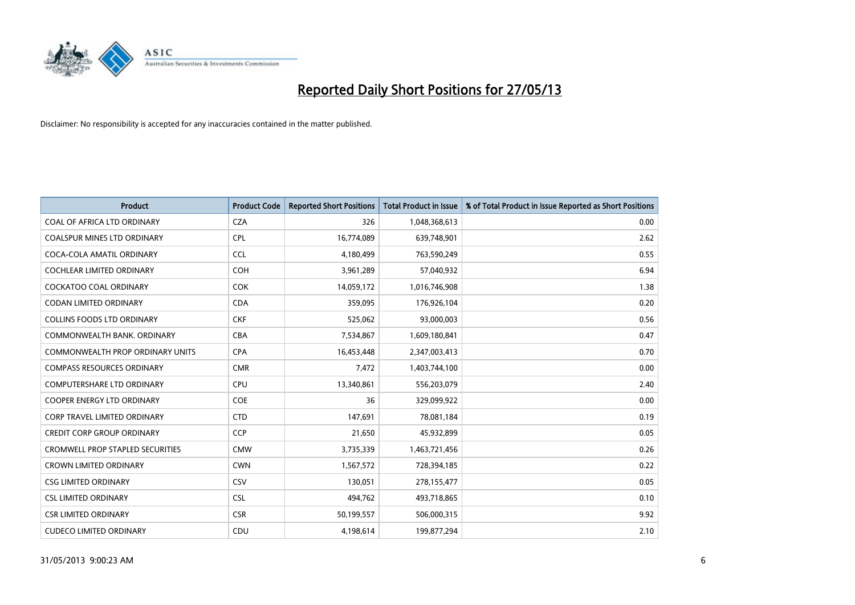

| <b>Product</b>                          | <b>Product Code</b> | <b>Reported Short Positions</b> | <b>Total Product in Issue</b> | % of Total Product in Issue Reported as Short Positions |
|-----------------------------------------|---------------------|---------------------------------|-------------------------------|---------------------------------------------------------|
| COAL OF AFRICA LTD ORDINARY             | <b>CZA</b>          | 326                             | 1,048,368,613                 | 0.00                                                    |
| COALSPUR MINES LTD ORDINARY             | <b>CPL</b>          | 16,774,089                      | 639,748,901                   | 2.62                                                    |
| COCA-COLA AMATIL ORDINARY               | <b>CCL</b>          | 4,180,499                       | 763,590,249                   | 0.55                                                    |
| COCHLEAR LIMITED ORDINARY               | <b>COH</b>          | 3,961,289                       | 57,040,932                    | 6.94                                                    |
| <b>COCKATOO COAL ORDINARY</b>           | <b>COK</b>          | 14,059,172                      | 1,016,746,908                 | 1.38                                                    |
| <b>CODAN LIMITED ORDINARY</b>           | <b>CDA</b>          | 359,095                         | 176,926,104                   | 0.20                                                    |
| <b>COLLINS FOODS LTD ORDINARY</b>       | <b>CKF</b>          | 525,062                         | 93,000,003                    | 0.56                                                    |
| COMMONWEALTH BANK, ORDINARY             | <b>CBA</b>          | 7,534,867                       | 1,609,180,841                 | 0.47                                                    |
| <b>COMMONWEALTH PROP ORDINARY UNITS</b> | <b>CPA</b>          | 16,453,448                      | 2,347,003,413                 | 0.70                                                    |
| <b>COMPASS RESOURCES ORDINARY</b>       | <b>CMR</b>          | 7,472                           | 1,403,744,100                 | 0.00                                                    |
| COMPUTERSHARE LTD ORDINARY              | <b>CPU</b>          | 13,340,861                      | 556,203,079                   | 2.40                                                    |
| <b>COOPER ENERGY LTD ORDINARY</b>       | <b>COE</b>          | 36                              | 329,099,922                   | 0.00                                                    |
| CORP TRAVEL LIMITED ORDINARY            | <b>CTD</b>          | 147,691                         | 78,081,184                    | 0.19                                                    |
| <b>CREDIT CORP GROUP ORDINARY</b>       | <b>CCP</b>          | 21,650                          | 45,932,899                    | 0.05                                                    |
| <b>CROMWELL PROP STAPLED SECURITIES</b> | <b>CMW</b>          | 3,735,339                       | 1,463,721,456                 | 0.26                                                    |
| <b>CROWN LIMITED ORDINARY</b>           | <b>CWN</b>          | 1,567,572                       | 728,394,185                   | 0.22                                                    |
| <b>CSG LIMITED ORDINARY</b>             | CSV                 | 130,051                         | 278,155,477                   | 0.05                                                    |
| <b>CSL LIMITED ORDINARY</b>             | <b>CSL</b>          | 494,762                         | 493,718,865                   | 0.10                                                    |
| <b>CSR LIMITED ORDINARY</b>             | <b>CSR</b>          | 50,199,557                      | 506,000,315                   | 9.92                                                    |
| <b>CUDECO LIMITED ORDINARY</b>          | CDU                 | 4,198,614                       | 199,877,294                   | 2.10                                                    |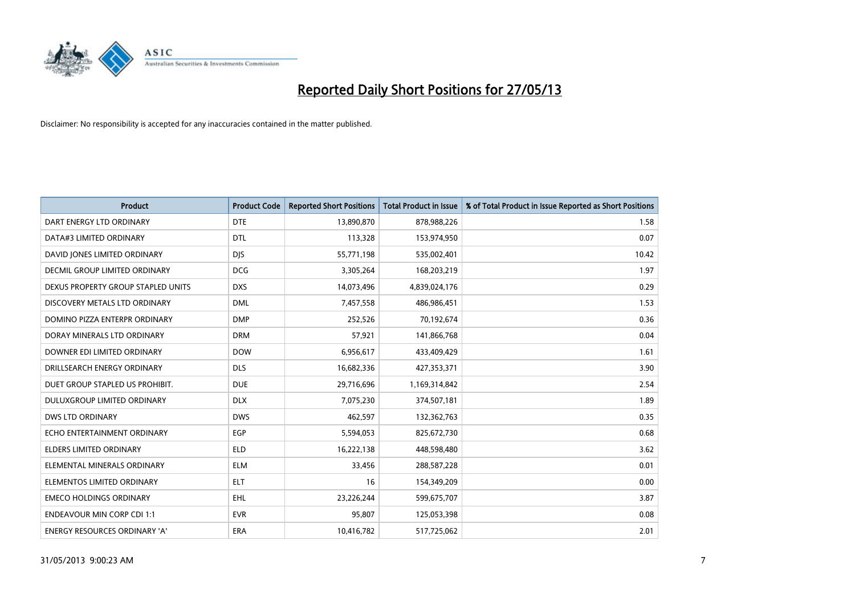

| <b>Product</b>                       | <b>Product Code</b> | <b>Reported Short Positions</b> | <b>Total Product in Issue</b> | % of Total Product in Issue Reported as Short Positions |
|--------------------------------------|---------------------|---------------------------------|-------------------------------|---------------------------------------------------------|
| DART ENERGY LTD ORDINARY             | <b>DTE</b>          | 13,890,870                      | 878,988,226                   | 1.58                                                    |
| DATA#3 LIMITED ORDINARY              | <b>DTL</b>          | 113,328                         | 153,974,950                   | 0.07                                                    |
| DAVID JONES LIMITED ORDINARY         | <b>DJS</b>          | 55,771,198                      | 535,002,401                   | 10.42                                                   |
| <b>DECMIL GROUP LIMITED ORDINARY</b> | <b>DCG</b>          | 3,305,264                       | 168,203,219                   | 1.97                                                    |
| DEXUS PROPERTY GROUP STAPLED UNITS   | <b>DXS</b>          | 14,073,496                      | 4,839,024,176                 | 0.29                                                    |
| DISCOVERY METALS LTD ORDINARY        | <b>DML</b>          | 7,457,558                       | 486,986,451                   | 1.53                                                    |
| DOMINO PIZZA ENTERPR ORDINARY        | <b>DMP</b>          | 252,526                         | 70,192,674                    | 0.36                                                    |
| DORAY MINERALS LTD ORDINARY          | <b>DRM</b>          | 57,921                          | 141,866,768                   | 0.04                                                    |
| DOWNER EDI LIMITED ORDINARY          | <b>DOW</b>          | 6,956,617                       | 433,409,429                   | 1.61                                                    |
| DRILLSEARCH ENERGY ORDINARY          | <b>DLS</b>          | 16,682,336                      | 427,353,371                   | 3.90                                                    |
| DUET GROUP STAPLED US PROHIBIT.      | <b>DUE</b>          | 29,716,696                      | 1,169,314,842                 | 2.54                                                    |
| <b>DULUXGROUP LIMITED ORDINARY</b>   | <b>DLX</b>          | 7,075,230                       | 374,507,181                   | 1.89                                                    |
| DWS LTD ORDINARY                     | <b>DWS</b>          | 462,597                         | 132,362,763                   | 0.35                                                    |
| ECHO ENTERTAINMENT ORDINARY          | <b>EGP</b>          | 5,594,053                       | 825,672,730                   | 0.68                                                    |
| <b>ELDERS LIMITED ORDINARY</b>       | <b>ELD</b>          | 16,222,138                      | 448,598,480                   | 3.62                                                    |
| ELEMENTAL MINERALS ORDINARY          | <b>ELM</b>          | 33,456                          | 288,587,228                   | 0.01                                                    |
| ELEMENTOS LIMITED ORDINARY           | ELT                 | 16                              | 154,349,209                   | 0.00                                                    |
| <b>EMECO HOLDINGS ORDINARY</b>       | <b>EHL</b>          | 23,226,244                      | 599,675,707                   | 3.87                                                    |
| <b>ENDEAVOUR MIN CORP CDI 1:1</b>    | <b>EVR</b>          | 95,807                          | 125,053,398                   | 0.08                                                    |
| ENERGY RESOURCES ORDINARY 'A'        | ERA                 | 10,416,782                      | 517,725,062                   | 2.01                                                    |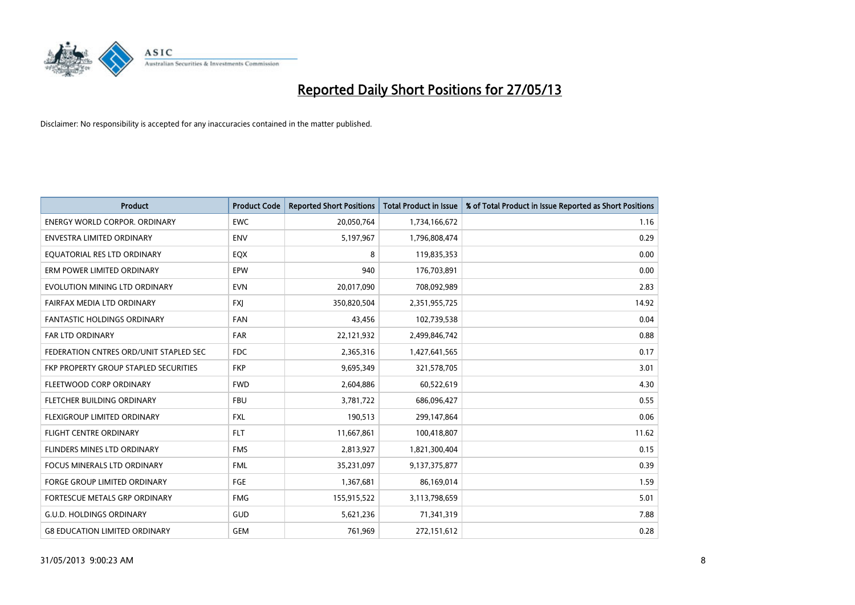

| <b>Product</b>                         | <b>Product Code</b> | <b>Reported Short Positions</b> | <b>Total Product in Issue</b> | % of Total Product in Issue Reported as Short Positions |
|----------------------------------------|---------------------|---------------------------------|-------------------------------|---------------------------------------------------------|
| <b>ENERGY WORLD CORPOR, ORDINARY</b>   | <b>EWC</b>          | 20,050,764                      | 1,734,166,672                 | 1.16                                                    |
| ENVESTRA LIMITED ORDINARY              | <b>ENV</b>          | 5,197,967                       | 1,796,808,474                 | 0.29                                                    |
| EQUATORIAL RES LTD ORDINARY            | EQX                 | 8                               | 119,835,353                   | 0.00                                                    |
| ERM POWER LIMITED ORDINARY             | EPW                 | 940                             | 176,703,891                   | 0.00                                                    |
| EVOLUTION MINING LTD ORDINARY          | <b>EVN</b>          | 20,017,090                      | 708,092,989                   | 2.83                                                    |
| FAIRFAX MEDIA LTD ORDINARY             | FXJ                 | 350,820,504                     | 2,351,955,725                 | 14.92                                                   |
| FANTASTIC HOLDINGS ORDINARY            | <b>FAN</b>          | 43,456                          | 102,739,538                   | 0.04                                                    |
| FAR LTD ORDINARY                       | <b>FAR</b>          | 22,121,932                      | 2,499,846,742                 | 0.88                                                    |
| FEDERATION CNTRES ORD/UNIT STAPLED SEC | <b>FDC</b>          | 2,365,316                       | 1,427,641,565                 | 0.17                                                    |
| FKP PROPERTY GROUP STAPLED SECURITIES  | <b>FKP</b>          | 9,695,349                       | 321,578,705                   | 3.01                                                    |
| FLEETWOOD CORP ORDINARY                | <b>FWD</b>          | 2,604,886                       | 60,522,619                    | 4.30                                                    |
| FLETCHER BUILDING ORDINARY             | <b>FBU</b>          | 3,781,722                       | 686,096,427                   | 0.55                                                    |
| FLEXIGROUP LIMITED ORDINARY            | <b>FXL</b>          | 190,513                         | 299,147,864                   | 0.06                                                    |
| <b>FLIGHT CENTRE ORDINARY</b>          | <b>FLT</b>          | 11,667,861                      | 100,418,807                   | 11.62                                                   |
| FLINDERS MINES LTD ORDINARY            | <b>FMS</b>          | 2,813,927                       | 1,821,300,404                 | 0.15                                                    |
| FOCUS MINERALS LTD ORDINARY            | <b>FML</b>          | 35,231,097                      | 9,137,375,877                 | 0.39                                                    |
| FORGE GROUP LIMITED ORDINARY           | FGE                 | 1,367,681                       | 86,169,014                    | 1.59                                                    |
| FORTESCUE METALS GRP ORDINARY          | <b>FMG</b>          | 155,915,522                     | 3,113,798,659                 | 5.01                                                    |
| <b>G.U.D. HOLDINGS ORDINARY</b>        | GUD                 | 5,621,236                       | 71,341,319                    | 7.88                                                    |
| <b>G8 EDUCATION LIMITED ORDINARY</b>   | <b>GEM</b>          | 761,969                         | 272,151,612                   | 0.28                                                    |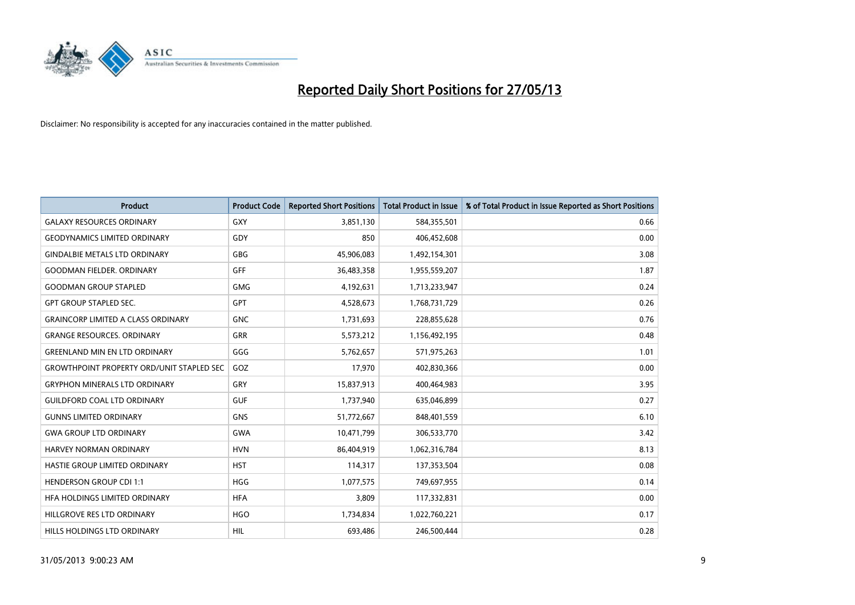

| <b>Product</b>                                   | <b>Product Code</b> | <b>Reported Short Positions</b> | <b>Total Product in Issue</b> | % of Total Product in Issue Reported as Short Positions |
|--------------------------------------------------|---------------------|---------------------------------|-------------------------------|---------------------------------------------------------|
| <b>GALAXY RESOURCES ORDINARY</b>                 | GXY                 | 3,851,130                       | 584,355,501                   | 0.66                                                    |
| <b>GEODYNAMICS LIMITED ORDINARY</b>              | GDY                 | 850                             | 406,452,608                   | 0.00                                                    |
| <b>GINDALBIE METALS LTD ORDINARY</b>             | <b>GBG</b>          | 45,906,083                      | 1,492,154,301                 | 3.08                                                    |
| <b>GOODMAN FIELDER. ORDINARY</b>                 | <b>GFF</b>          | 36,483,358                      | 1,955,559,207                 | 1.87                                                    |
| <b>GOODMAN GROUP STAPLED</b>                     | <b>GMG</b>          | 4,192,631                       | 1,713,233,947                 | 0.24                                                    |
| <b>GPT GROUP STAPLED SEC.</b>                    | GPT                 | 4,528,673                       | 1,768,731,729                 | 0.26                                                    |
| <b>GRAINCORP LIMITED A CLASS ORDINARY</b>        | <b>GNC</b>          | 1,731,693                       | 228,855,628                   | 0.76                                                    |
| <b>GRANGE RESOURCES. ORDINARY</b>                | GRR                 | 5,573,212                       | 1,156,492,195                 | 0.48                                                    |
| <b>GREENLAND MIN EN LTD ORDINARY</b>             | GGG                 | 5,762,657                       | 571,975,263                   | 1.01                                                    |
| <b>GROWTHPOINT PROPERTY ORD/UNIT STAPLED SEC</b> | GOZ                 | 17,970                          | 402,830,366                   | 0.00                                                    |
| <b>GRYPHON MINERALS LTD ORDINARY</b>             | GRY                 | 15,837,913                      | 400,464,983                   | 3.95                                                    |
| <b>GUILDFORD COAL LTD ORDINARY</b>               | <b>GUF</b>          | 1,737,940                       | 635,046,899                   | 0.27                                                    |
| <b>GUNNS LIMITED ORDINARY</b>                    | <b>GNS</b>          | 51,772,667                      | 848,401,559                   | 6.10                                                    |
| <b>GWA GROUP LTD ORDINARY</b>                    | <b>GWA</b>          | 10,471,799                      | 306,533,770                   | 3.42                                                    |
| HARVEY NORMAN ORDINARY                           | <b>HVN</b>          | 86,404,919                      | 1,062,316,784                 | 8.13                                                    |
| HASTIE GROUP LIMITED ORDINARY                    | <b>HST</b>          | 114,317                         | 137,353,504                   | 0.08                                                    |
| <b>HENDERSON GROUP CDI 1:1</b>                   | <b>HGG</b>          | 1,077,575                       | 749,697,955                   | 0.14                                                    |
| HFA HOLDINGS LIMITED ORDINARY                    | <b>HFA</b>          | 3,809                           | 117,332,831                   | 0.00                                                    |
| HILLGROVE RES LTD ORDINARY                       | <b>HGO</b>          | 1,734,834                       | 1,022,760,221                 | 0.17                                                    |
| HILLS HOLDINGS LTD ORDINARY                      | HIL                 | 693,486                         | 246,500,444                   | 0.28                                                    |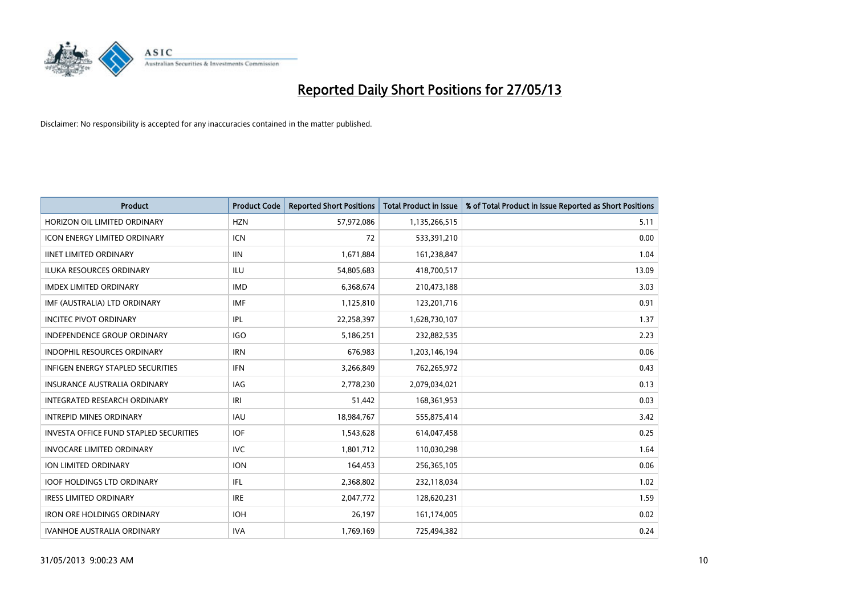

| <b>Product</b>                                | <b>Product Code</b> | <b>Reported Short Positions</b> | <b>Total Product in Issue</b> | % of Total Product in Issue Reported as Short Positions |
|-----------------------------------------------|---------------------|---------------------------------|-------------------------------|---------------------------------------------------------|
| HORIZON OIL LIMITED ORDINARY                  | <b>HZN</b>          | 57,972,086                      | 1,135,266,515                 | 5.11                                                    |
| <b>ICON ENERGY LIMITED ORDINARY</b>           | ICN                 | 72                              | 533,391,210                   | 0.00                                                    |
| <b>IINET LIMITED ORDINARY</b>                 | <b>IIN</b>          | 1,671,884                       | 161,238,847                   | 1.04                                                    |
| ILUKA RESOURCES ORDINARY                      | ILU                 | 54,805,683                      | 418,700,517                   | 13.09                                                   |
| <b>IMDEX LIMITED ORDINARY</b>                 | <b>IMD</b>          | 6,368,674                       | 210,473,188                   | 3.03                                                    |
| IMF (AUSTRALIA) LTD ORDINARY                  | <b>IMF</b>          | 1,125,810                       | 123,201,716                   | 0.91                                                    |
| <b>INCITEC PIVOT ORDINARY</b>                 | IPL                 | 22,258,397                      | 1,628,730,107                 | 1.37                                                    |
| INDEPENDENCE GROUP ORDINARY                   | <b>IGO</b>          | 5,186,251                       | 232,882,535                   | 2.23                                                    |
| <b>INDOPHIL RESOURCES ORDINARY</b>            | <b>IRN</b>          | 676,983                         | 1,203,146,194                 | 0.06                                                    |
| <b>INFIGEN ENERGY STAPLED SECURITIES</b>      | <b>IFN</b>          | 3,266,849                       | 762,265,972                   | 0.43                                                    |
| INSURANCE AUSTRALIA ORDINARY                  | <b>IAG</b>          | 2,778,230                       | 2,079,034,021                 | 0.13                                                    |
| INTEGRATED RESEARCH ORDINARY                  | IRI                 | 51,442                          | 168,361,953                   | 0.03                                                    |
| <b>INTREPID MINES ORDINARY</b>                | <b>IAU</b>          | 18,984,767                      | 555,875,414                   | 3.42                                                    |
| <b>INVESTA OFFICE FUND STAPLED SECURITIES</b> | <b>IOF</b>          | 1,543,628                       | 614,047,458                   | 0.25                                                    |
| <b>INVOCARE LIMITED ORDINARY</b>              | <b>IVC</b>          | 1,801,712                       | 110,030,298                   | 1.64                                                    |
| ION LIMITED ORDINARY                          | <b>ION</b>          | 164,453                         | 256,365,105                   | 0.06                                                    |
| <b>IOOF HOLDINGS LTD ORDINARY</b>             | IFL                 | 2,368,802                       | 232,118,034                   | 1.02                                                    |
| <b>IRESS LIMITED ORDINARY</b>                 | <b>IRE</b>          | 2,047,772                       | 128,620,231                   | 1.59                                                    |
| <b>IRON ORE HOLDINGS ORDINARY</b>             | <b>IOH</b>          | 26,197                          | 161,174,005                   | 0.02                                                    |
| <b>IVANHOE AUSTRALIA ORDINARY</b>             | <b>IVA</b>          | 1,769,169                       | 725,494,382                   | 0.24                                                    |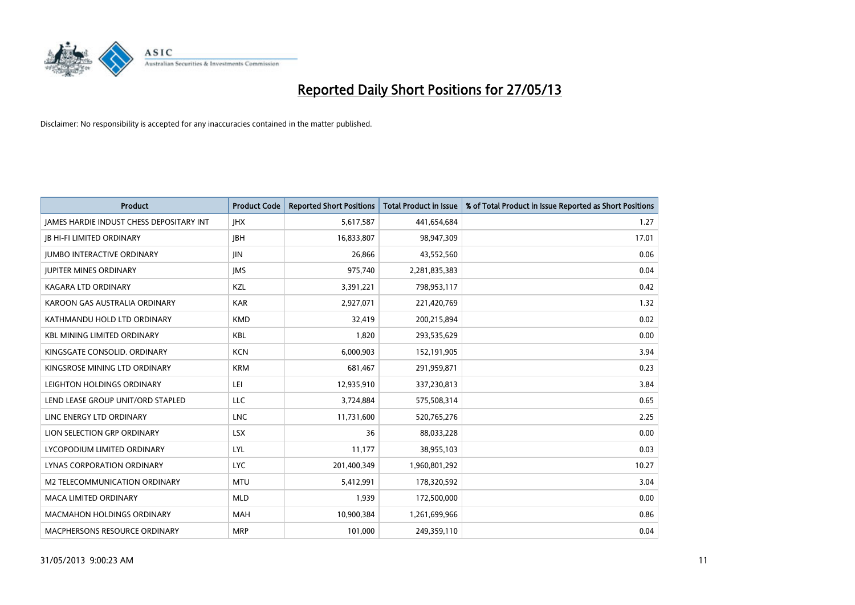

| <b>Product</b>                           | <b>Product Code</b> | <b>Reported Short Positions</b> | <b>Total Product in Issue</b> | % of Total Product in Issue Reported as Short Positions |
|------------------------------------------|---------------------|---------------------------------|-------------------------------|---------------------------------------------------------|
| JAMES HARDIE INDUST CHESS DEPOSITARY INT | <b>IHX</b>          | 5,617,587                       | 441,654,684                   | 1.27                                                    |
| <b>JB HI-FI LIMITED ORDINARY</b>         | <b>IBH</b>          | 16,833,807                      | 98,947,309                    | 17.01                                                   |
| <b>IUMBO INTERACTIVE ORDINARY</b>        | <b>IIN</b>          | 26,866                          | 43,552,560                    | 0.06                                                    |
| <b>JUPITER MINES ORDINARY</b>            | <b>IMS</b>          | 975,740                         | 2,281,835,383                 | 0.04                                                    |
| <b>KAGARA LTD ORDINARY</b>               | KZL                 | 3,391,221                       | 798,953,117                   | 0.42                                                    |
| KAROON GAS AUSTRALIA ORDINARY            | <b>KAR</b>          | 2,927,071                       | 221,420,769                   | 1.32                                                    |
| KATHMANDU HOLD LTD ORDINARY              | <b>KMD</b>          | 32,419                          | 200,215,894                   | 0.02                                                    |
| <b>KBL MINING LIMITED ORDINARY</b>       | <b>KBL</b>          | 1,820                           | 293,535,629                   | 0.00                                                    |
| KINGSGATE CONSOLID. ORDINARY             | <b>KCN</b>          | 6,000,903                       | 152,191,905                   | 3.94                                                    |
| KINGSROSE MINING LTD ORDINARY            | <b>KRM</b>          | 681,467                         | 291,959,871                   | 0.23                                                    |
| LEIGHTON HOLDINGS ORDINARY               | LEI                 | 12,935,910                      | 337,230,813                   | 3.84                                                    |
| LEND LEASE GROUP UNIT/ORD STAPLED        | LLC                 | 3,724,884                       | 575,508,314                   | 0.65                                                    |
| LINC ENERGY LTD ORDINARY                 | <b>LNC</b>          | 11,731,600                      | 520,765,276                   | 2.25                                                    |
| LION SELECTION GRP ORDINARY              | <b>LSX</b>          | 36                              | 88,033,228                    | 0.00                                                    |
| LYCOPODIUM LIMITED ORDINARY              | LYL                 | 11,177                          | 38,955,103                    | 0.03                                                    |
| LYNAS CORPORATION ORDINARY               | <b>LYC</b>          | 201,400,349                     | 1,960,801,292                 | 10.27                                                   |
| M2 TELECOMMUNICATION ORDINARY            | <b>MTU</b>          | 5,412,991                       | 178,320,592                   | 3.04                                                    |
| <b>MACA LIMITED ORDINARY</b>             | <b>MLD</b>          | 1,939                           | 172,500,000                   | 0.00                                                    |
| <b>MACMAHON HOLDINGS ORDINARY</b>        | <b>MAH</b>          | 10,900,384                      | 1,261,699,966                 | 0.86                                                    |
| MACPHERSONS RESOURCE ORDINARY            | <b>MRP</b>          | 101,000                         | 249,359,110                   | 0.04                                                    |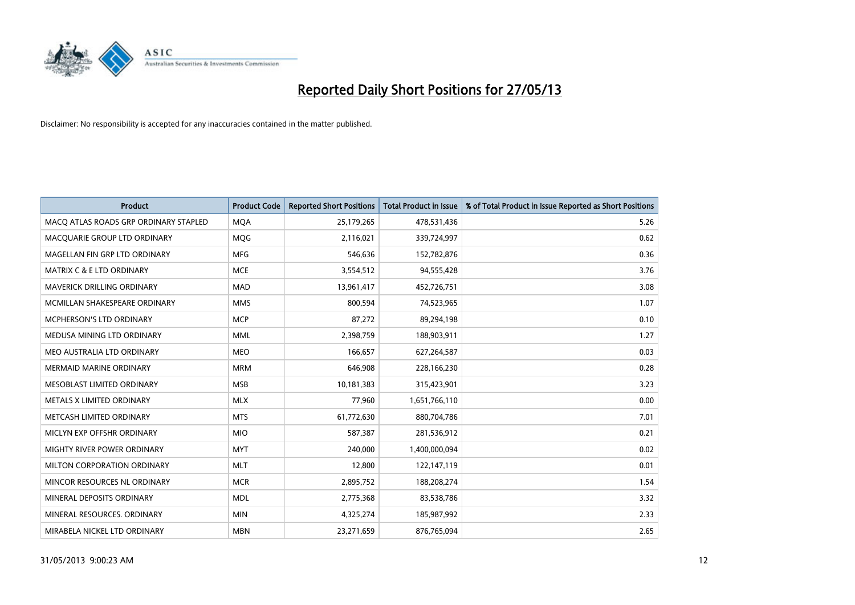

| <b>Product</b>                        | <b>Product Code</b> | <b>Reported Short Positions</b> | <b>Total Product in Issue</b> | % of Total Product in Issue Reported as Short Positions |
|---------------------------------------|---------------------|---------------------------------|-------------------------------|---------------------------------------------------------|
| MACO ATLAS ROADS GRP ORDINARY STAPLED | <b>MQA</b>          | 25,179,265                      | 478,531,436                   | 5.26                                                    |
| MACQUARIE GROUP LTD ORDINARY          | MQG                 | 2,116,021                       | 339,724,997                   | 0.62                                                    |
| MAGELLAN FIN GRP LTD ORDINARY         | <b>MFG</b>          | 546,636                         | 152,782,876                   | 0.36                                                    |
| <b>MATRIX C &amp; E LTD ORDINARY</b>  | <b>MCE</b>          | 3,554,512                       | 94,555,428                    | 3.76                                                    |
| MAVERICK DRILLING ORDINARY            | <b>MAD</b>          | 13,961,417                      | 452,726,751                   | 3.08                                                    |
| MCMILLAN SHAKESPEARE ORDINARY         | <b>MMS</b>          | 800,594                         | 74,523,965                    | 1.07                                                    |
| <b>MCPHERSON'S LTD ORDINARY</b>       | <b>MCP</b>          | 87,272                          | 89,294,198                    | 0.10                                                    |
| MEDUSA MINING LTD ORDINARY            | <b>MML</b>          | 2,398,759                       | 188,903,911                   | 1.27                                                    |
| MEO AUSTRALIA LTD ORDINARY            | <b>MEO</b>          | 166,657                         | 627,264,587                   | 0.03                                                    |
| <b>MERMAID MARINE ORDINARY</b>        | <b>MRM</b>          | 646,908                         | 228,166,230                   | 0.28                                                    |
| MESOBLAST LIMITED ORDINARY            | <b>MSB</b>          | 10,181,383                      | 315,423,901                   | 3.23                                                    |
| METALS X LIMITED ORDINARY             | <b>MLX</b>          | 77,960                          | 1,651,766,110                 | 0.00                                                    |
| METCASH LIMITED ORDINARY              | <b>MTS</b>          | 61,772,630                      | 880,704,786                   | 7.01                                                    |
| MICLYN EXP OFFSHR ORDINARY            | <b>MIO</b>          | 587,387                         | 281,536,912                   | 0.21                                                    |
| MIGHTY RIVER POWER ORDINARY           | <b>MYT</b>          | 240,000                         | 1,400,000,094                 | 0.02                                                    |
| MILTON CORPORATION ORDINARY           | <b>MLT</b>          | 12,800                          | 122,147,119                   | 0.01                                                    |
| MINCOR RESOURCES NL ORDINARY          | <b>MCR</b>          | 2,895,752                       | 188,208,274                   | 1.54                                                    |
| MINERAL DEPOSITS ORDINARY             | <b>MDL</b>          | 2,775,368                       | 83,538,786                    | 3.32                                                    |
| MINERAL RESOURCES, ORDINARY           | <b>MIN</b>          | 4,325,274                       | 185,987,992                   | 2.33                                                    |
| MIRABELA NICKEL LTD ORDINARY          | <b>MBN</b>          | 23,271,659                      | 876,765,094                   | 2.65                                                    |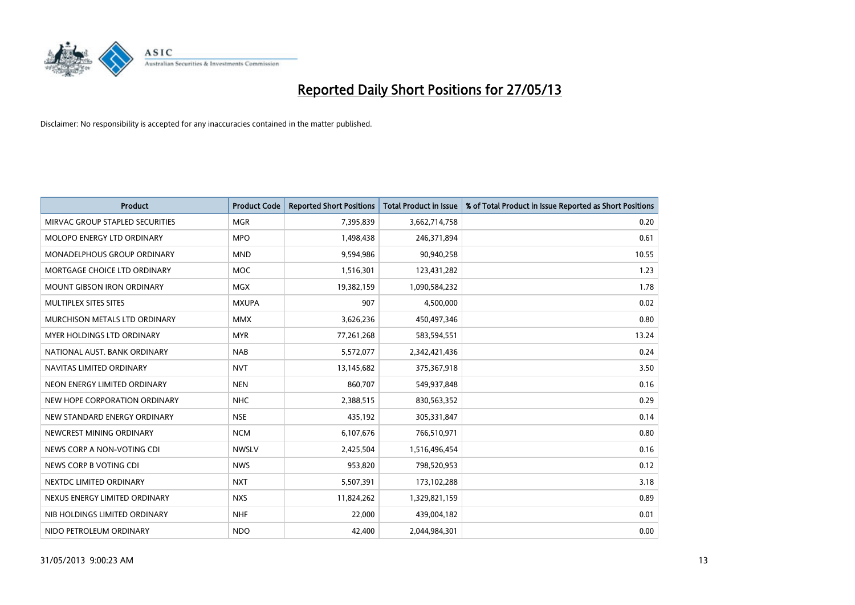

| <b>Product</b>                     | <b>Product Code</b> | <b>Reported Short Positions</b> | <b>Total Product in Issue</b> | % of Total Product in Issue Reported as Short Positions |
|------------------------------------|---------------------|---------------------------------|-------------------------------|---------------------------------------------------------|
| MIRVAC GROUP STAPLED SECURITIES    | <b>MGR</b>          | 7,395,839                       | 3,662,714,758                 | 0.20                                                    |
| MOLOPO ENERGY LTD ORDINARY         | <b>MPO</b>          | 1,498,438                       | 246,371,894                   | 0.61                                                    |
| <b>MONADELPHOUS GROUP ORDINARY</b> | <b>MND</b>          | 9,594,986                       | 90,940,258                    | 10.55                                                   |
| MORTGAGE CHOICE LTD ORDINARY       | <b>MOC</b>          | 1,516,301                       | 123,431,282                   | 1.23                                                    |
| <b>MOUNT GIBSON IRON ORDINARY</b>  | <b>MGX</b>          | 19,382,159                      | 1,090,584,232                 | 1.78                                                    |
| MULTIPLEX SITES SITES              | <b>MXUPA</b>        | 907                             | 4,500,000                     | 0.02                                                    |
| MURCHISON METALS LTD ORDINARY      | <b>MMX</b>          | 3,626,236                       | 450,497,346                   | 0.80                                                    |
| <b>MYER HOLDINGS LTD ORDINARY</b>  | <b>MYR</b>          | 77,261,268                      | 583,594,551                   | 13.24                                                   |
| NATIONAL AUST, BANK ORDINARY       | <b>NAB</b>          | 5,572,077                       | 2,342,421,436                 | 0.24                                                    |
| NAVITAS LIMITED ORDINARY           | <b>NVT</b>          | 13,145,682                      | 375,367,918                   | 3.50                                                    |
| NEON ENERGY LIMITED ORDINARY       | <b>NEN</b>          | 860,707                         | 549,937,848                   | 0.16                                                    |
| NEW HOPE CORPORATION ORDINARY      | <b>NHC</b>          | 2,388,515                       | 830,563,352                   | 0.29                                                    |
| NEW STANDARD ENERGY ORDINARY       | <b>NSE</b>          | 435,192                         | 305,331,847                   | 0.14                                                    |
| NEWCREST MINING ORDINARY           | <b>NCM</b>          | 6,107,676                       | 766,510,971                   | 0.80                                                    |
| NEWS CORP A NON-VOTING CDI         | <b>NWSLV</b>        | 2,425,504                       | 1,516,496,454                 | 0.16                                                    |
| NEWS CORP B VOTING CDI             | <b>NWS</b>          | 953,820                         | 798,520,953                   | 0.12                                                    |
| NEXTDC LIMITED ORDINARY            | <b>NXT</b>          | 5,507,391                       | 173,102,288                   | 3.18                                                    |
| NEXUS ENERGY LIMITED ORDINARY      | <b>NXS</b>          | 11,824,262                      | 1,329,821,159                 | 0.89                                                    |
| NIB HOLDINGS LIMITED ORDINARY      | <b>NHF</b>          | 22,000                          | 439,004,182                   | 0.01                                                    |
| NIDO PETROLEUM ORDINARY            | <b>NDO</b>          | 42,400                          | 2,044,984,301                 | 0.00                                                    |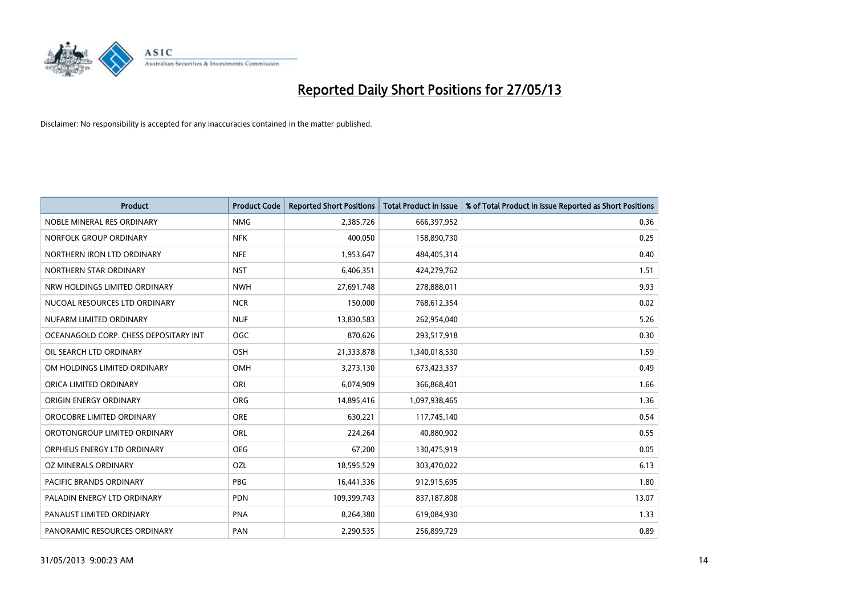

| <b>Product</b>                        | <b>Product Code</b> | <b>Reported Short Positions</b> | <b>Total Product in Issue</b> | % of Total Product in Issue Reported as Short Positions |
|---------------------------------------|---------------------|---------------------------------|-------------------------------|---------------------------------------------------------|
| NOBLE MINERAL RES ORDINARY            | <b>NMG</b>          | 2,385,726                       | 666,397,952                   | 0.36                                                    |
| NORFOLK GROUP ORDINARY                | <b>NFK</b>          | 400,050                         | 158,890,730                   | 0.25                                                    |
| NORTHERN IRON LTD ORDINARY            | <b>NFE</b>          | 1,953,647                       | 484,405,314                   | 0.40                                                    |
| NORTHERN STAR ORDINARY                | <b>NST</b>          | 6,406,351                       | 424,279,762                   | 1.51                                                    |
| NRW HOLDINGS LIMITED ORDINARY         | <b>NWH</b>          | 27,691,748                      | 278,888,011                   | 9.93                                                    |
| NUCOAL RESOURCES LTD ORDINARY         | <b>NCR</b>          | 150,000                         | 768,612,354                   | 0.02                                                    |
| NUFARM LIMITED ORDINARY               | <b>NUF</b>          | 13,830,583                      | 262,954,040                   | 5.26                                                    |
| OCEANAGOLD CORP. CHESS DEPOSITARY INT | <b>OGC</b>          | 870,626                         | 293,517,918                   | 0.30                                                    |
| OIL SEARCH LTD ORDINARY               | OSH                 | 21,333,878                      | 1,340,018,530                 | 1.59                                                    |
| OM HOLDINGS LIMITED ORDINARY          | OMH                 | 3,273,130                       | 673,423,337                   | 0.49                                                    |
| ORICA LIMITED ORDINARY                | ORI                 | 6,074,909                       | 366,868,401                   | 1.66                                                    |
| ORIGIN ENERGY ORDINARY                | <b>ORG</b>          | 14,895,416                      | 1,097,938,465                 | 1.36                                                    |
| OROCOBRE LIMITED ORDINARY             | <b>ORE</b>          | 630,221                         | 117,745,140                   | 0.54                                                    |
| OROTONGROUP LIMITED ORDINARY          | ORL                 | 224,264                         | 40,880,902                    | 0.55                                                    |
| ORPHEUS ENERGY LTD ORDINARY           | <b>OEG</b>          | 67,200                          | 130,475,919                   | 0.05                                                    |
| OZ MINERALS ORDINARY                  | OZL                 | 18,595,529                      | 303,470,022                   | 6.13                                                    |
| PACIFIC BRANDS ORDINARY               | <b>PBG</b>          | 16,441,336                      | 912,915,695                   | 1.80                                                    |
| PALADIN ENERGY LTD ORDINARY           | <b>PDN</b>          | 109,399,743                     | 837,187,808                   | 13.07                                                   |
| PANAUST LIMITED ORDINARY              | <b>PNA</b>          | 8,264,380                       | 619,084,930                   | 1.33                                                    |
| PANORAMIC RESOURCES ORDINARY          | PAN                 | 2,290,535                       | 256,899,729                   | 0.89                                                    |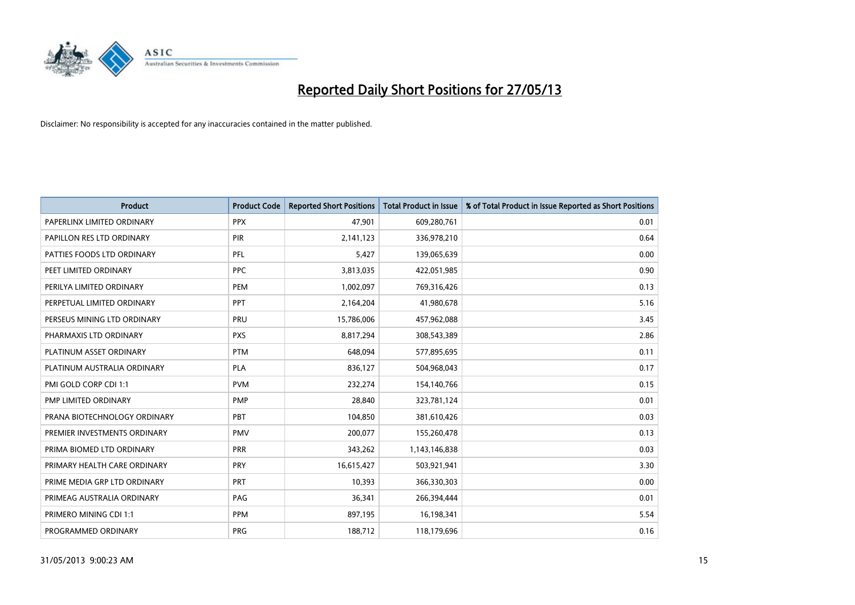

| <b>Product</b>               | <b>Product Code</b> | <b>Reported Short Positions</b> | <b>Total Product in Issue</b> | % of Total Product in Issue Reported as Short Positions |
|------------------------------|---------------------|---------------------------------|-------------------------------|---------------------------------------------------------|
| PAPERLINX LIMITED ORDINARY   | <b>PPX</b>          | 47,901                          | 609,280,761                   | 0.01                                                    |
| PAPILLON RES LTD ORDINARY    | <b>PIR</b>          | 2,141,123                       | 336,978,210                   | 0.64                                                    |
| PATTIES FOODS LTD ORDINARY   | PFL                 | 5,427                           | 139,065,639                   | 0.00                                                    |
| PEET LIMITED ORDINARY        | <b>PPC</b>          | 3,813,035                       | 422,051,985                   | 0.90                                                    |
| PERILYA LIMITED ORDINARY     | PEM                 | 1,002,097                       | 769,316,426                   | 0.13                                                    |
| PERPETUAL LIMITED ORDINARY   | PPT                 | 2,164,204                       | 41,980,678                    | 5.16                                                    |
| PERSEUS MINING LTD ORDINARY  | PRU                 | 15,786,006                      | 457,962,088                   | 3.45                                                    |
| PHARMAXIS LTD ORDINARY       | <b>PXS</b>          | 8,817,294                       | 308,543,389                   | 2.86                                                    |
| PLATINUM ASSET ORDINARY      | <b>PTM</b>          | 648.094                         | 577,895,695                   | 0.11                                                    |
| PLATINUM AUSTRALIA ORDINARY  | <b>PLA</b>          | 836,127                         | 504,968,043                   | 0.17                                                    |
| PMI GOLD CORP CDI 1:1        | <b>PVM</b>          | 232,274                         | 154,140,766                   | 0.15                                                    |
| PMP LIMITED ORDINARY         | <b>PMP</b>          | 28,840                          | 323,781,124                   | 0.01                                                    |
| PRANA BIOTECHNOLOGY ORDINARY | <b>PBT</b>          | 104,850                         | 381,610,426                   | 0.03                                                    |
| PREMIER INVESTMENTS ORDINARY | <b>PMV</b>          | 200,077                         | 155,260,478                   | 0.13                                                    |
| PRIMA BIOMED LTD ORDINARY    | <b>PRR</b>          | 343,262                         | 1,143,146,838                 | 0.03                                                    |
| PRIMARY HEALTH CARE ORDINARY | <b>PRY</b>          | 16,615,427                      | 503,921,941                   | 3.30                                                    |
| PRIME MEDIA GRP LTD ORDINARY | <b>PRT</b>          | 10,393                          | 366,330,303                   | 0.00                                                    |
| PRIMEAG AUSTRALIA ORDINARY   | PAG                 | 36,341                          | 266,394,444                   | 0.01                                                    |
| PRIMERO MINING CDI 1:1       | PPM                 | 897,195                         | 16,198,341                    | 5.54                                                    |
| PROGRAMMED ORDINARY          | <b>PRG</b>          | 188,712                         | 118,179,696                   | 0.16                                                    |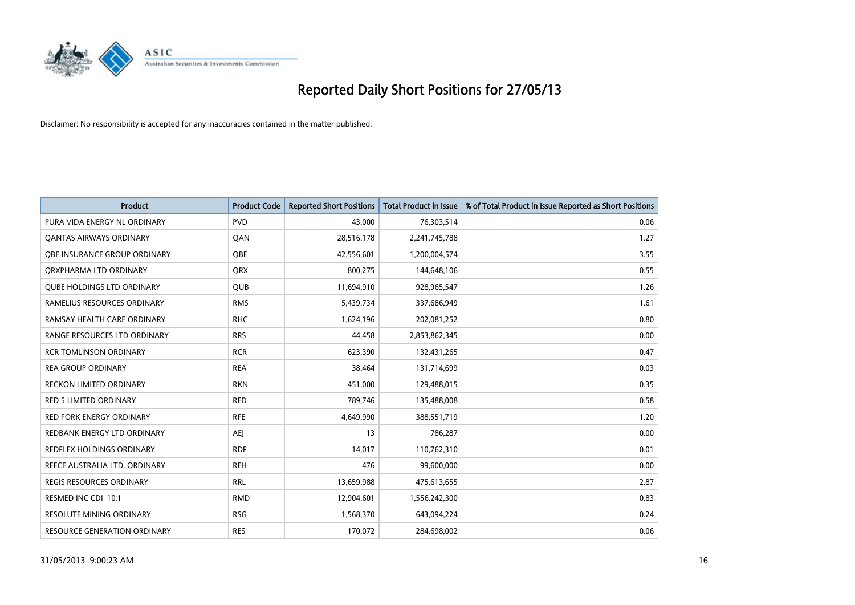

| <b>Product</b>                    | <b>Product Code</b> | <b>Reported Short Positions</b> | <b>Total Product in Issue</b> | % of Total Product in Issue Reported as Short Positions |
|-----------------------------------|---------------------|---------------------------------|-------------------------------|---------------------------------------------------------|
| PURA VIDA ENERGY NL ORDINARY      | <b>PVD</b>          | 43.000                          | 76,303,514                    | 0.06                                                    |
| <b>QANTAS AIRWAYS ORDINARY</b>    | QAN                 | 28,516,178                      | 2,241,745,788                 | 1.27                                                    |
| OBE INSURANCE GROUP ORDINARY      | OBE                 | 42,556,601                      | 1,200,004,574                 | 3.55                                                    |
| ORXPHARMA LTD ORDINARY            | QRX                 | 800,275                         | 144,648,106                   | 0.55                                                    |
| <b>QUBE HOLDINGS LTD ORDINARY</b> | <b>QUB</b>          | 11,694,910                      | 928,965,547                   | 1.26                                                    |
| RAMELIUS RESOURCES ORDINARY       | <b>RMS</b>          | 5,439,734                       | 337,686,949                   | 1.61                                                    |
| RAMSAY HEALTH CARE ORDINARY       | <b>RHC</b>          | 1,624,196                       | 202,081,252                   | 0.80                                                    |
| RANGE RESOURCES LTD ORDINARY      | <b>RRS</b>          | 44,458                          | 2,853,862,345                 | 0.00                                                    |
| <b>RCR TOMLINSON ORDINARY</b>     | <b>RCR</b>          | 623,390                         | 132,431,265                   | 0.47                                                    |
| <b>REA GROUP ORDINARY</b>         | <b>REA</b>          | 38,464                          | 131,714,699                   | 0.03                                                    |
| <b>RECKON LIMITED ORDINARY</b>    | <b>RKN</b>          | 451,000                         | 129,488,015                   | 0.35                                                    |
| RED 5 LIMITED ORDINARY            | <b>RED</b>          | 789,746                         | 135,488,008                   | 0.58                                                    |
| <b>RED FORK ENERGY ORDINARY</b>   | <b>RFE</b>          | 4,649,990                       | 388,551,719                   | 1.20                                                    |
| REDBANK ENERGY LTD ORDINARY       | AEJ                 | 13                              | 786,287                       | 0.00                                                    |
| REDFLEX HOLDINGS ORDINARY         | <b>RDF</b>          | 14,017                          | 110,762,310                   | 0.01                                                    |
| REECE AUSTRALIA LTD. ORDINARY     | <b>REH</b>          | 476                             | 99,600,000                    | 0.00                                                    |
| <b>REGIS RESOURCES ORDINARY</b>   | <b>RRL</b>          | 13,659,988                      | 475,613,655                   | 2.87                                                    |
| RESMED INC CDI 10:1               | <b>RMD</b>          | 12,904,601                      | 1,556,242,300                 | 0.83                                                    |
| <b>RESOLUTE MINING ORDINARY</b>   | <b>RSG</b>          | 1,568,370                       | 643,094,224                   | 0.24                                                    |
| RESOURCE GENERATION ORDINARY      | <b>RES</b>          | 170,072                         | 284,698,002                   | 0.06                                                    |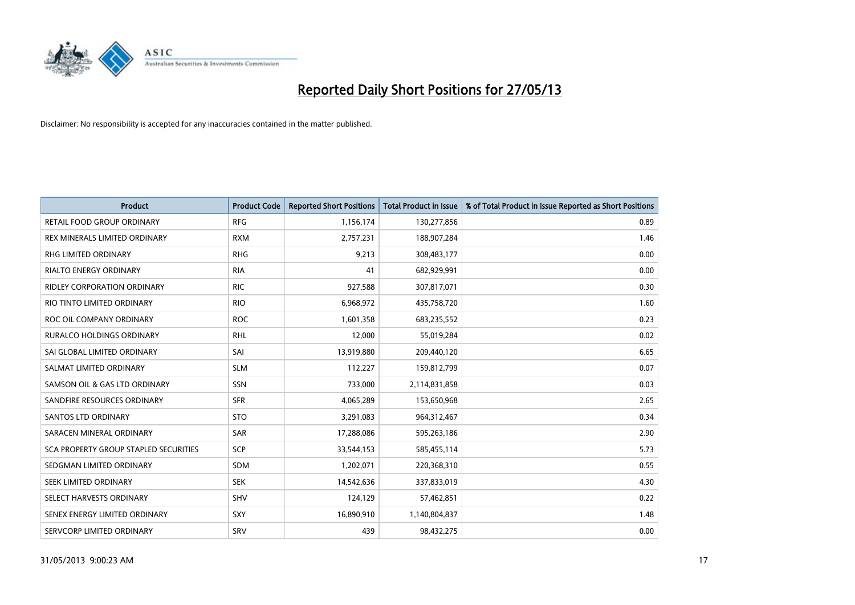

| <b>Product</b>                        | <b>Product Code</b> | <b>Reported Short Positions</b> | <b>Total Product in Issue</b> | % of Total Product in Issue Reported as Short Positions |
|---------------------------------------|---------------------|---------------------------------|-------------------------------|---------------------------------------------------------|
| <b>RETAIL FOOD GROUP ORDINARY</b>     | <b>RFG</b>          | 1,156,174                       | 130,277,856                   | 0.89                                                    |
| REX MINERALS LIMITED ORDINARY         | <b>RXM</b>          | 2,757,231                       | 188,907,284                   | 1.46                                                    |
| RHG LIMITED ORDINARY                  | <b>RHG</b>          | 9,213                           | 308,483,177                   | 0.00                                                    |
| <b>RIALTO ENERGY ORDINARY</b>         | <b>RIA</b>          | 41                              | 682,929,991                   | 0.00                                                    |
| <b>RIDLEY CORPORATION ORDINARY</b>    | <b>RIC</b>          | 927,588                         | 307,817,071                   | 0.30                                                    |
| RIO TINTO LIMITED ORDINARY            | <b>RIO</b>          | 6,968,972                       | 435,758,720                   | 1.60                                                    |
| ROC OIL COMPANY ORDINARY              | <b>ROC</b>          | 1,601,358                       | 683,235,552                   | 0.23                                                    |
| RURALCO HOLDINGS ORDINARY             | <b>RHL</b>          | 12,000                          | 55,019,284                    | 0.02                                                    |
| SAI GLOBAL LIMITED ORDINARY           | SAI                 | 13,919,880                      | 209,440,120                   | 6.65                                                    |
| SALMAT LIMITED ORDINARY               | <b>SLM</b>          | 112,227                         | 159,812,799                   | 0.07                                                    |
| SAMSON OIL & GAS LTD ORDINARY         | SSN                 | 733,000                         | 2,114,831,858                 | 0.03                                                    |
| SANDFIRE RESOURCES ORDINARY           | <b>SFR</b>          | 4,065,289                       | 153,650,968                   | 2.65                                                    |
| <b>SANTOS LTD ORDINARY</b>            | <b>STO</b>          | 3,291,083                       | 964,312,467                   | 0.34                                                    |
| SARACEN MINERAL ORDINARY              | SAR                 | 17,288,086                      | 595,263,186                   | 2.90                                                    |
| SCA PROPERTY GROUP STAPLED SECURITIES | SCP                 | 33,544,153                      | 585,455,114                   | 5.73                                                    |
| SEDGMAN LIMITED ORDINARY              | SDM                 | 1,202,071                       | 220,368,310                   | 0.55                                                    |
| SEEK LIMITED ORDINARY                 | <b>SEK</b>          | 14,542,636                      | 337,833,019                   | 4.30                                                    |
| SELECT HARVESTS ORDINARY              | SHV                 | 124,129                         | 57,462,851                    | 0.22                                                    |
| SENEX ENERGY LIMITED ORDINARY         | <b>SXY</b>          | 16,890,910                      | 1,140,804,837                 | 1.48                                                    |
| SERVCORP LIMITED ORDINARY             | SRV                 | 439                             | 98,432,275                    | 0.00                                                    |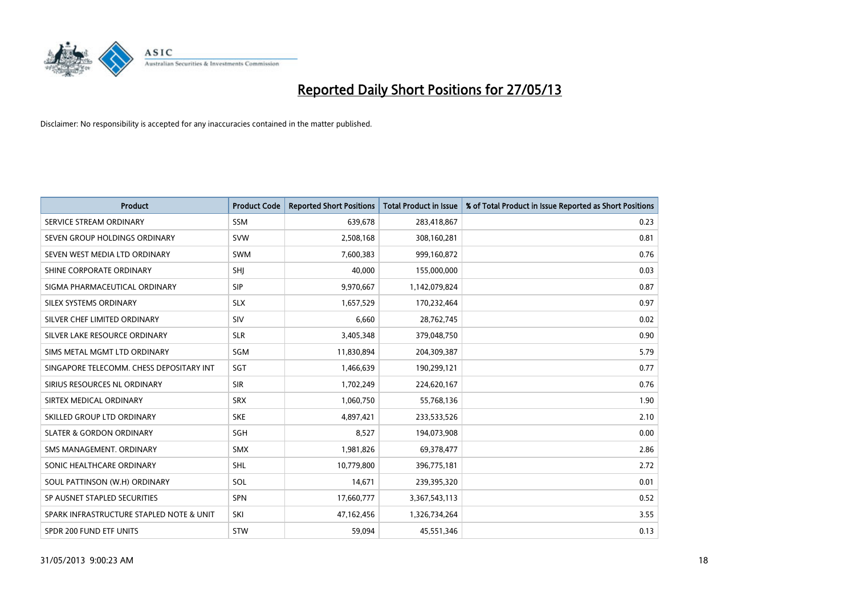

| <b>Product</b>                           | <b>Product Code</b> | <b>Reported Short Positions</b> | <b>Total Product in Issue</b> | % of Total Product in Issue Reported as Short Positions |
|------------------------------------------|---------------------|---------------------------------|-------------------------------|---------------------------------------------------------|
| SERVICE STREAM ORDINARY                  | <b>SSM</b>          | 639,678                         | 283,418,867                   | 0.23                                                    |
| SEVEN GROUP HOLDINGS ORDINARY            | <b>SVW</b>          | 2,508,168                       | 308,160,281                   | 0.81                                                    |
| SEVEN WEST MEDIA LTD ORDINARY            | <b>SWM</b>          | 7,600,383                       | 999,160,872                   | 0.76                                                    |
| SHINE CORPORATE ORDINARY                 | SHI                 | 40,000                          | 155,000,000                   | 0.03                                                    |
| SIGMA PHARMACEUTICAL ORDINARY            | <b>SIP</b>          | 9,970,667                       | 1,142,079,824                 | 0.87                                                    |
| SILEX SYSTEMS ORDINARY                   | <b>SLX</b>          | 1,657,529                       | 170,232,464                   | 0.97                                                    |
| SILVER CHEF LIMITED ORDINARY             | SIV                 | 6,660                           | 28,762,745                    | 0.02                                                    |
| SILVER LAKE RESOURCE ORDINARY            | <b>SLR</b>          | 3,405,348                       | 379,048,750                   | 0.90                                                    |
| SIMS METAL MGMT LTD ORDINARY             | SGM                 | 11,830,894                      | 204,309,387                   | 5.79                                                    |
| SINGAPORE TELECOMM. CHESS DEPOSITARY INT | SGT                 | 1,466,639                       | 190,299,121                   | 0.77                                                    |
| SIRIUS RESOURCES NL ORDINARY             | <b>SIR</b>          | 1,702,249                       | 224,620,167                   | 0.76                                                    |
| SIRTEX MEDICAL ORDINARY                  | <b>SRX</b>          | 1,060,750                       | 55,768,136                    | 1.90                                                    |
| SKILLED GROUP LTD ORDINARY               | <b>SKE</b>          | 4,897,421                       | 233,533,526                   | 2.10                                                    |
| <b>SLATER &amp; GORDON ORDINARY</b>      | SGH                 | 8,527                           | 194,073,908                   | 0.00                                                    |
| SMS MANAGEMENT, ORDINARY                 | <b>SMX</b>          | 1,981,826                       | 69,378,477                    | 2.86                                                    |
| SONIC HEALTHCARE ORDINARY                | SHL                 | 10,779,800                      | 396,775,181                   | 2.72                                                    |
| SOUL PATTINSON (W.H) ORDINARY            | SOL                 | 14,671                          | 239,395,320                   | 0.01                                                    |
| SP AUSNET STAPLED SECURITIES             | <b>SPN</b>          | 17,660,777                      | 3,367,543,113                 | 0.52                                                    |
| SPARK INFRASTRUCTURE STAPLED NOTE & UNIT | SKI                 | 47,162,456                      | 1,326,734,264                 | 3.55                                                    |
| SPDR 200 FUND ETF UNITS                  | <b>STW</b>          | 59,094                          | 45,551,346                    | 0.13                                                    |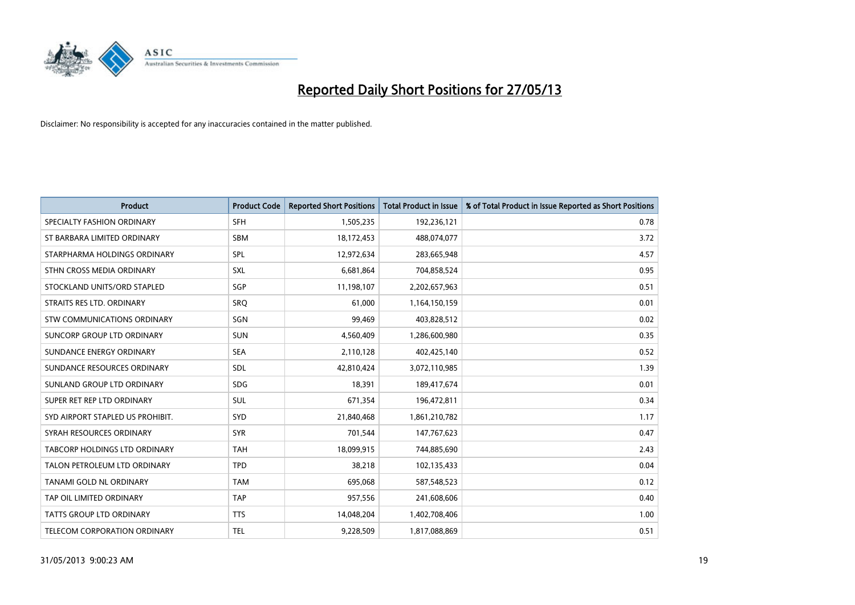

| <b>Product</b>                   | <b>Product Code</b> | <b>Reported Short Positions</b> | <b>Total Product in Issue</b> | % of Total Product in Issue Reported as Short Positions |
|----------------------------------|---------------------|---------------------------------|-------------------------------|---------------------------------------------------------|
| SPECIALTY FASHION ORDINARY       | <b>SFH</b>          | 1,505,235                       | 192,236,121                   | 0.78                                                    |
| ST BARBARA LIMITED ORDINARY      | <b>SBM</b>          | 18,172,453                      | 488,074,077                   | 3.72                                                    |
| STARPHARMA HOLDINGS ORDINARY     | <b>SPL</b>          | 12,972,634                      | 283,665,948                   | 4.57                                                    |
| STHN CROSS MEDIA ORDINARY        | <b>SXL</b>          | 6,681,864                       | 704,858,524                   | 0.95                                                    |
| STOCKLAND UNITS/ORD STAPLED      | SGP                 | 11,198,107                      | 2,202,657,963                 | 0.51                                                    |
| STRAITS RES LTD. ORDINARY        | SRO                 | 61,000                          | 1,164,150,159                 | 0.01                                                    |
| STW COMMUNICATIONS ORDINARY      | SGN                 | 99,469                          | 403,828,512                   | 0.02                                                    |
| SUNCORP GROUP LTD ORDINARY       | <b>SUN</b>          | 4,560,409                       | 1,286,600,980                 | 0.35                                                    |
| SUNDANCE ENERGY ORDINARY         | <b>SEA</b>          | 2,110,128                       | 402,425,140                   | 0.52                                                    |
| SUNDANCE RESOURCES ORDINARY      | <b>SDL</b>          | 42,810,424                      | 3,072,110,985                 | 1.39                                                    |
| SUNLAND GROUP LTD ORDINARY       | <b>SDG</b>          | 18,391                          | 189,417,674                   | 0.01                                                    |
| SUPER RET REP LTD ORDINARY       | <b>SUL</b>          | 671,354                         | 196,472,811                   | 0.34                                                    |
| SYD AIRPORT STAPLED US PROHIBIT. | <b>SYD</b>          | 21,840,468                      | 1,861,210,782                 | 1.17                                                    |
| SYRAH RESOURCES ORDINARY         | <b>SYR</b>          | 701,544                         | 147,767,623                   | 0.47                                                    |
| TABCORP HOLDINGS LTD ORDINARY    | <b>TAH</b>          | 18,099,915                      | 744,885,690                   | 2.43                                                    |
| TALON PETROLEUM LTD ORDINARY     | <b>TPD</b>          | 38,218                          | 102,135,433                   | 0.04                                                    |
| TANAMI GOLD NL ORDINARY          | <b>TAM</b>          | 695,068                         | 587,548,523                   | 0.12                                                    |
| TAP OIL LIMITED ORDINARY         | <b>TAP</b>          | 957,556                         | 241,608,606                   | 0.40                                                    |
| <b>TATTS GROUP LTD ORDINARY</b>  | <b>TTS</b>          | 14,048,204                      | 1,402,708,406                 | 1.00                                                    |
| TELECOM CORPORATION ORDINARY     | <b>TEL</b>          | 9,228,509                       | 1,817,088,869                 | 0.51                                                    |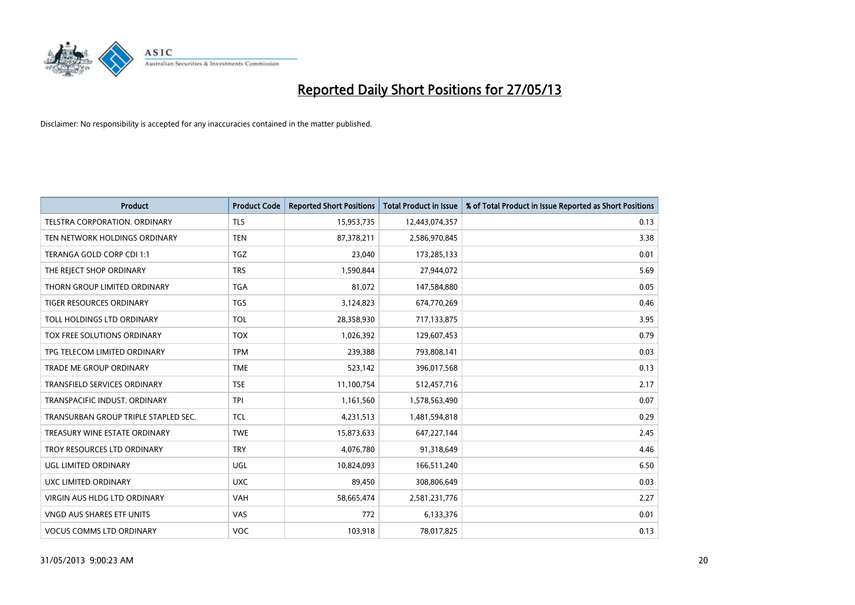

| <b>Product</b>                       | <b>Product Code</b> | <b>Reported Short Positions</b> | <b>Total Product in Issue</b> | % of Total Product in Issue Reported as Short Positions |
|--------------------------------------|---------------------|---------------------------------|-------------------------------|---------------------------------------------------------|
| <b>TELSTRA CORPORATION, ORDINARY</b> | <b>TLS</b>          | 15,953,735                      | 12,443,074,357                | 0.13                                                    |
| TEN NETWORK HOLDINGS ORDINARY        | <b>TEN</b>          | 87,378,211                      | 2,586,970,845                 | 3.38                                                    |
| TERANGA GOLD CORP CDI 1:1            | <b>TGZ</b>          | 23,040                          | 173,285,133                   | 0.01                                                    |
| THE REJECT SHOP ORDINARY             | <b>TRS</b>          | 1,590,844                       | 27,944,072                    | 5.69                                                    |
| THORN GROUP LIMITED ORDINARY         | <b>TGA</b>          | 81,072                          | 147,584,880                   | 0.05                                                    |
| TIGER RESOURCES ORDINARY             | <b>TGS</b>          | 3,124,823                       | 674,770,269                   | 0.46                                                    |
| TOLL HOLDINGS LTD ORDINARY           | <b>TOL</b>          | 28,358,930                      | 717,133,875                   | 3.95                                                    |
| TOX FREE SOLUTIONS ORDINARY          | <b>TOX</b>          | 1,026,392                       | 129,607,453                   | 0.79                                                    |
| TPG TELECOM LIMITED ORDINARY         | <b>TPM</b>          | 239,388                         | 793,808,141                   | 0.03                                                    |
| <b>TRADE ME GROUP ORDINARY</b>       | <b>TME</b>          | 523,142                         | 396,017,568                   | 0.13                                                    |
| <b>TRANSFIELD SERVICES ORDINARY</b>  | <b>TSE</b>          | 11,100,754                      | 512,457,716                   | 2.17                                                    |
| TRANSPACIFIC INDUST, ORDINARY        | TPI                 | 1,161,560                       | 1,578,563,490                 | 0.07                                                    |
| TRANSURBAN GROUP TRIPLE STAPLED SEC. | <b>TCL</b>          | 4,231,513                       | 1,481,594,818                 | 0.29                                                    |
| TREASURY WINE ESTATE ORDINARY        | <b>TWE</b>          | 15,873,633                      | 647,227,144                   | 2.45                                                    |
| TROY RESOURCES LTD ORDINARY          | <b>TRY</b>          | 4,076,780                       | 91,318,649                    | 4.46                                                    |
| <b>UGL LIMITED ORDINARY</b>          | UGL                 | 10,824,093                      | 166,511,240                   | 6.50                                                    |
| UXC LIMITED ORDINARY                 | <b>UXC</b>          | 89,450                          | 308,806,649                   | 0.03                                                    |
| VIRGIN AUS HLDG LTD ORDINARY         | <b>VAH</b>          | 58,665,474                      | 2,581,231,776                 | 2.27                                                    |
| <b>VNGD AUS SHARES ETF UNITS</b>     | <b>VAS</b>          | 772                             | 6,133,376                     | 0.01                                                    |
| <b>VOCUS COMMS LTD ORDINARY</b>      | <b>VOC</b>          | 103,918                         | 78,017,825                    | 0.13                                                    |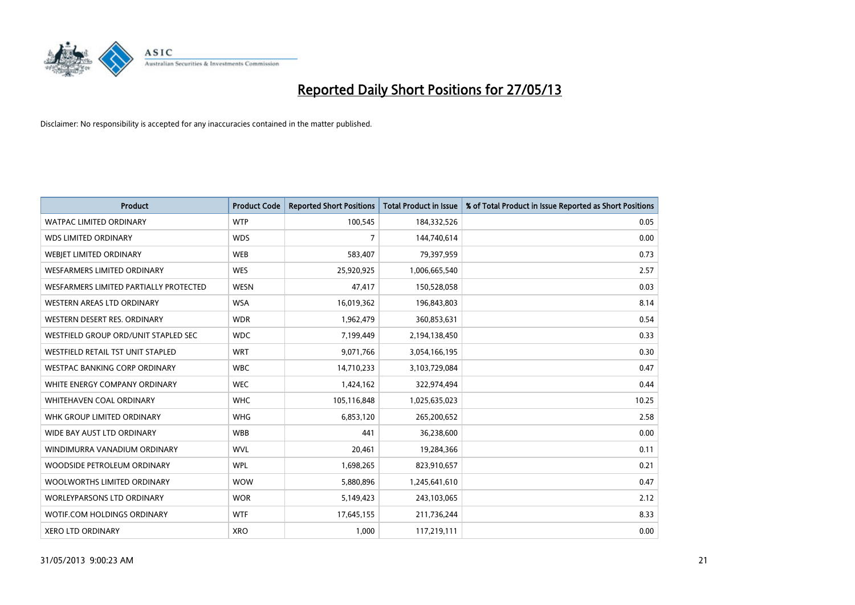

| <b>Product</b>                         | <b>Product Code</b> | <b>Reported Short Positions</b> | <b>Total Product in Issue</b> | % of Total Product in Issue Reported as Short Positions |
|----------------------------------------|---------------------|---------------------------------|-------------------------------|---------------------------------------------------------|
| <b>WATPAC LIMITED ORDINARY</b>         | <b>WTP</b>          | 100,545                         | 184,332,526                   | 0.05                                                    |
| <b>WDS LIMITED ORDINARY</b>            | <b>WDS</b>          | 7                               | 144,740,614                   | 0.00                                                    |
| WEBJET LIMITED ORDINARY                | <b>WEB</b>          | 583,407                         | 79,397,959                    | 0.73                                                    |
| <b>WESFARMERS LIMITED ORDINARY</b>     | <b>WES</b>          | 25,920,925                      | 1,006,665,540                 | 2.57                                                    |
| WESFARMERS LIMITED PARTIALLY PROTECTED | <b>WESN</b>         | 47,417                          | 150,528,058                   | 0.03                                                    |
| WESTERN AREAS LTD ORDINARY             | <b>WSA</b>          | 16,019,362                      | 196,843,803                   | 8.14                                                    |
| WESTERN DESERT RES. ORDINARY           | <b>WDR</b>          | 1,962,479                       | 360,853,631                   | 0.54                                                    |
| WESTFIELD GROUP ORD/UNIT STAPLED SEC   | <b>WDC</b>          | 7,199,449                       | 2,194,138,450                 | 0.33                                                    |
| WESTFIELD RETAIL TST UNIT STAPLED      | <b>WRT</b>          | 9,071,766                       | 3,054,166,195                 | 0.30                                                    |
| <b>WESTPAC BANKING CORP ORDINARY</b>   | <b>WBC</b>          | 14,710,233                      | 3,103,729,084                 | 0.47                                                    |
| WHITE ENERGY COMPANY ORDINARY          | <b>WEC</b>          | 1,424,162                       | 322,974,494                   | 0.44                                                    |
| WHITEHAVEN COAL ORDINARY               | <b>WHC</b>          | 105,116,848                     | 1,025,635,023                 | 10.25                                                   |
| WHK GROUP LIMITED ORDINARY             | <b>WHG</b>          | 6,853,120                       | 265,200,652                   | 2.58                                                    |
| WIDE BAY AUST LTD ORDINARY             | <b>WBB</b>          | 441                             | 36,238,600                    | 0.00                                                    |
| WINDIMURRA VANADIUM ORDINARY           | <b>WVL</b>          | 20,461                          | 19,284,366                    | 0.11                                                    |
| WOODSIDE PETROLEUM ORDINARY            | <b>WPL</b>          | 1,698,265                       | 823,910,657                   | 0.21                                                    |
| WOOLWORTHS LIMITED ORDINARY            | <b>WOW</b>          | 5,880,896                       | 1,245,641,610                 | 0.47                                                    |
| <b>WORLEYPARSONS LTD ORDINARY</b>      | <b>WOR</b>          | 5,149,423                       | 243,103,065                   | 2.12                                                    |
| WOTIF.COM HOLDINGS ORDINARY            | <b>WTF</b>          | 17,645,155                      | 211,736,244                   | 8.33                                                    |
| <b>XERO LTD ORDINARY</b>               | <b>XRO</b>          | 1,000                           | 117,219,111                   | 0.00                                                    |